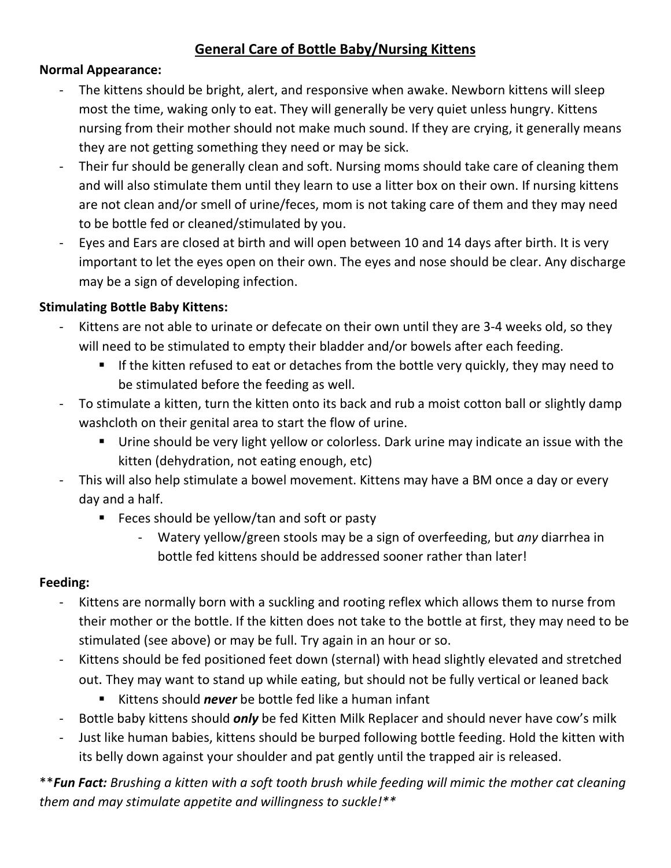### **General Care of Bottle Baby/Nursing Kittens**

#### **Normal Appearance:**

- The kittens should be bright, alert, and responsive when awake. Newborn kittens will sleep most the time, waking only to eat. They will generally be very quiet unless hungry. Kittens nursing from their mother should not make much sound. If they are crying, it generally means they are not getting something they need or may be sick.
- Their fur should be generally clean and soft. Nursing moms should take care of cleaning them and will also stimulate them until they learn to use a litter box on their own. If nursing kittens are not clean and/or smell of urine/feces, mom is not taking care of them and they may need to be bottle fed or cleaned/stimulated by you.
- Eyes and Ears are closed at birth and will open between 10 and 14 days after birth. It is very important to let the eyes open on their own. The eyes and nose should be clear. Any discharge may be a sign of developing infection.

#### **Stimulating Bottle Baby Kittens:**

- Kittens are not able to urinate or defecate on their own until they are 3-4 weeks old, so they will need to be stimulated to empty their bladder and/or bowels after each feeding.
	- If the kitten refused to eat or detaches from the bottle very quickly, they may need to be stimulated before the feeding as well.
- To stimulate a kitten, turn the kitten onto its back and rub a moist cotton ball or slightly damp washcloth on their genital area to start the flow of urine.
	- Urine should be very light yellow or colorless. Dark urine may indicate an issue with the kitten (dehydration, not eating enough, etc)
- This will also help stimulate a bowel movement. Kittens may have a BM once a day or every day and a half.
	- **Feces should be yellow/tan and soft or pasty** 
		- Watery yellow/green stools may be a sign of overfeeding, but *any* diarrhea in bottle fed kittens should be addressed sooner rather than later!

#### **Feeding:**

- Kittens are normally born with a suckling and rooting reflex which allows them to nurse from their mother or the bottle. If the kitten does not take to the bottle at first, they may need to be stimulated (see above) or may be full. Try again in an hour or so.
- Kittens should be fed positioned feet down (sternal) with head slightly elevated and stretched out. They may want to stand up while eating, but should not be fully vertical or leaned back
	- Kittens should *never* be bottle fed like a human infant
- Bottle baby kittens should *only* be fed Kitten Milk Replacer and should never have cow's milk
- Just like human babies, kittens should be burped following bottle feeding. Hold the kitten with its belly down against your shoulder and pat gently until the trapped air is released.

\*\**Fun Fact: Brushing a kitten with a soft tooth brush while feeding will mimic the mother cat cleaning them and may stimulate appetite and willingness to suckle!\*\**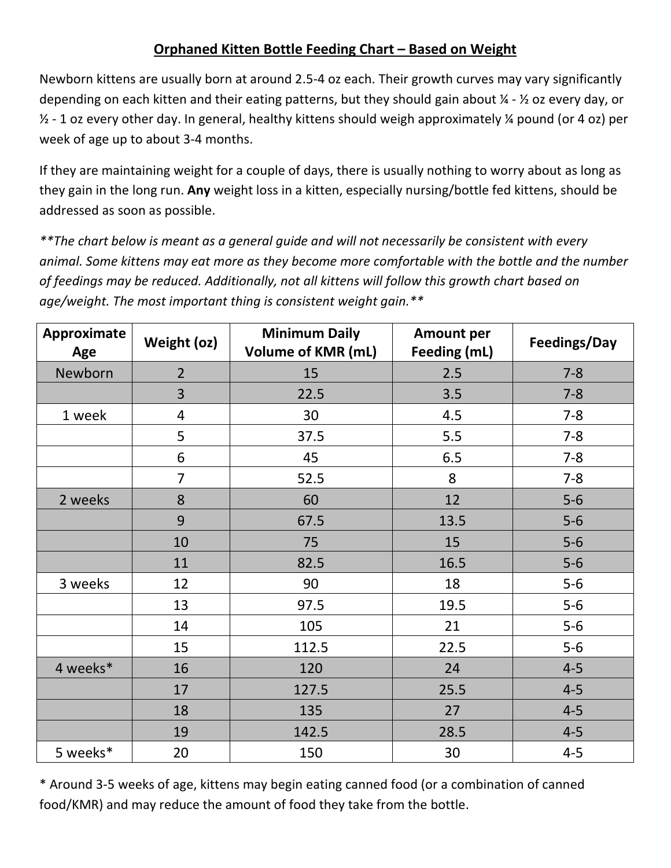### **Orphaned Kitten Bottle Feeding Chart – Based on Weight**

Newborn kittens are usually born at around 2.5-4 oz each. Their growth curves may vary significantly depending on each kitten and their eating patterns, but they should gain about ¼ - ½ oz every day, or ½ - 1 oz every other day. In general, healthy kittens should weigh approximately ¼ pound (or 4 oz) per week of age up to about 3-4 months.

If they are maintaining weight for a couple of days, there is usually nothing to worry about as long as they gain in the long run. **Any** weight loss in a kitten, especially nursing/bottle fed kittens, should be addressed as soon as possible.

*\*\*The chart below is meant as a general guide and will not necessarily be consistent with every animal. Some kittens may eat more as they become more comfortable with the bottle and the number of feedings may be reduced. Additionally, not all kittens will follow this growth chart based on age/weight. The most important thing is consistent weight gain.\*\** 

| Approximate<br>Age | Weight (oz)    | <b>Minimum Daily</b><br><b>Volume of KMR (mL)</b> | <b>Amount per</b><br>Feeding (mL) | Feedings/Day |
|--------------------|----------------|---------------------------------------------------|-----------------------------------|--------------|
| Newborn            | $\overline{2}$ | 15                                                | 2.5                               | $7 - 8$      |
|                    | 3              | 22.5                                              | 3.5                               | $7 - 8$      |
| 1 week             | $\overline{4}$ | 30                                                | 4.5                               | $7 - 8$      |
|                    | 5              | 37.5                                              | 5.5                               | $7 - 8$      |
|                    | 6              | 45                                                | 6.5                               | $7 - 8$      |
|                    | $\overline{7}$ | 52.5                                              | 8                                 | $7 - 8$      |
| 2 weeks            | 8              | 60                                                | 12                                | $5-6$        |
|                    | 9              | 67.5                                              | 13.5                              | $5-6$        |
|                    | 10             | 75                                                | 15                                | $5-6$        |
|                    | 11             | 82.5                                              | 16.5                              | $5-6$        |
| 3 weeks            | 12             | 90                                                | 18                                | $5-6$        |
|                    | 13             | 97.5                                              | 19.5                              | $5-6$        |
|                    | 14             | 105                                               | 21                                | $5-6$        |
|                    | 15             | 112.5                                             | 22.5                              | $5-6$        |
| 4 weeks*           | 16             | 120                                               | 24                                | $4 - 5$      |
|                    | 17             | 127.5                                             | 25.5                              | $4 - 5$      |
|                    | 18             | 135                                               | 27                                | $4 - 5$      |
|                    | 19             | 142.5                                             | 28.5                              | $4 - 5$      |
| 5 weeks*           | 20             | 150                                               | 30                                | $4 - 5$      |

\* Around 3-5 weeks of age, kittens may begin eating canned food (or a combination of canned food/KMR) and may reduce the amount of food they take from the bottle.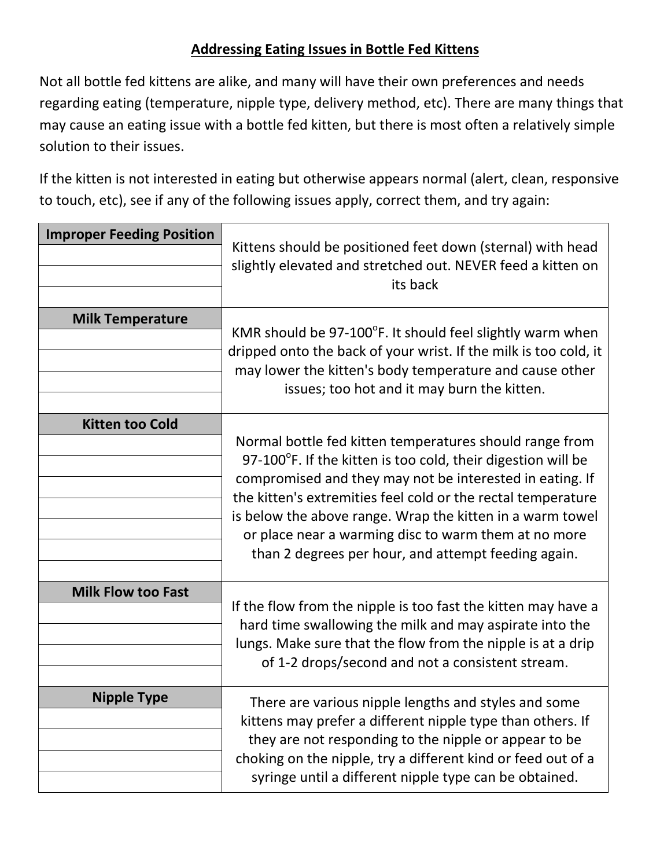#### **Addressing Eating Issues in Bottle Fed Kittens**

Not all bottle fed kittens are alike, and many will have their own preferences and needs regarding eating (temperature, nipple type, delivery method, etc). There are many things that may cause an eating issue with a bottle fed kitten, but there is most often a relatively simple solution to their issues.

If the kitten is not interested in eating but otherwise appears normal (alert, clean, responsive to touch, etc), see if any of the following issues apply, correct them, and try again:

| <b>Improper Feeding Position</b> | Kittens should be positioned feet down (sternal) with head<br>slightly elevated and stretched out. NEVER feed a kitten on<br>its back                                                                                                                                                                                                                                                                                                     |  |
|----------------------------------|-------------------------------------------------------------------------------------------------------------------------------------------------------------------------------------------------------------------------------------------------------------------------------------------------------------------------------------------------------------------------------------------------------------------------------------------|--|
| <b>Milk Temperature</b>          | KMR should be 97-100 $^{\circ}$ F. It should feel slightly warm when<br>dripped onto the back of your wrist. If the milk is too cold, it<br>may lower the kitten's body temperature and cause other<br>issues; too hot and it may burn the kitten.                                                                                                                                                                                        |  |
| <b>Kitten too Cold</b>           | Normal bottle fed kitten temperatures should range from<br>97-100 $\degree$ F. If the kitten is too cold, their digestion will be<br>compromised and they may not be interested in eating. If<br>the kitten's extremities feel cold or the rectal temperature<br>is below the above range. Wrap the kitten in a warm towel<br>or place near a warming disc to warm them at no more<br>than 2 degrees per hour, and attempt feeding again. |  |
| <b>Milk Flow too Fast</b>        | If the flow from the nipple is too fast the kitten may have a<br>hard time swallowing the milk and may aspirate into the<br>lungs. Make sure that the flow from the nipple is at a drip<br>of 1-2 drops/second and not a consistent stream.                                                                                                                                                                                               |  |
| <b>Nipple Type</b>               | There are various nipple lengths and styles and some<br>kittens may prefer a different nipple type than others. If<br>they are not responding to the nipple or appear to be<br>choking on the nipple, try a different kind or feed out of a<br>syringe until a different nipple type can be obtained.                                                                                                                                     |  |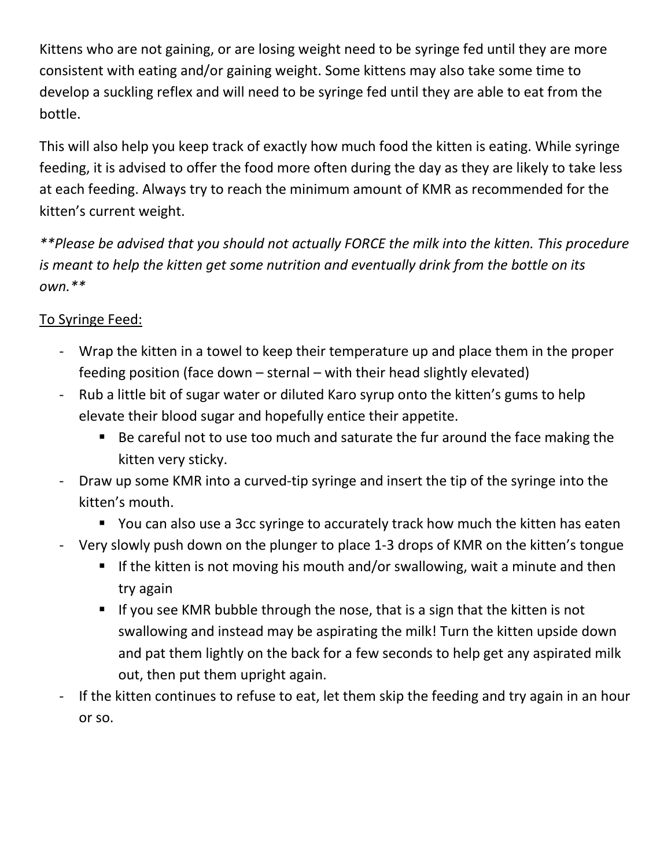Kittens who are not gaining, or are losing weight need to be syringe fed until they are more consistent with eating and/or gaining weight. Some kittens may also take some time to develop a suckling reflex and will need to be syringe fed until they are able to eat from the bottle.

This will also help you keep track of exactly how much food the kitten is eating. While syringe feeding, it is advised to offer the food more often during the day as they are likely to take less at each feeding. Always try to reach the minimum amount of KMR as recommended for the kitten's current weight.

*\*\*Please be advised that you should not actually FORCE the milk into the kitten. This procedure is meant to help the kitten get some nutrition and eventually drink from the bottle on its own.\*\** 

# To Syringe Feed:

- Wrap the kitten in a towel to keep their temperature up and place them in the proper feeding position (face down – sternal – with their head slightly elevated)
- Rub a little bit of sugar water or diluted Karo syrup onto the kitten's gums to help elevate their blood sugar and hopefully entice their appetite.
	- Be careful not to use too much and saturate the fur around the face making the kitten very sticky.
- Draw up some KMR into a curved-tip syringe and insert the tip of the syringe into the kitten's mouth.
	- You can also use a 3cc syringe to accurately track how much the kitten has eaten
- Very slowly push down on the plunger to place 1-3 drops of KMR on the kitten's tongue
	- If the kitten is not moving his mouth and/or swallowing, wait a minute and then try again
	- If you see KMR bubble through the nose, that is a sign that the kitten is not swallowing and instead may be aspirating the milk! Turn the kitten upside down and pat them lightly on the back for a few seconds to help get any aspirated milk out, then put them upright again.
- If the kitten continues to refuse to eat, let them skip the feeding and try again in an hour or so.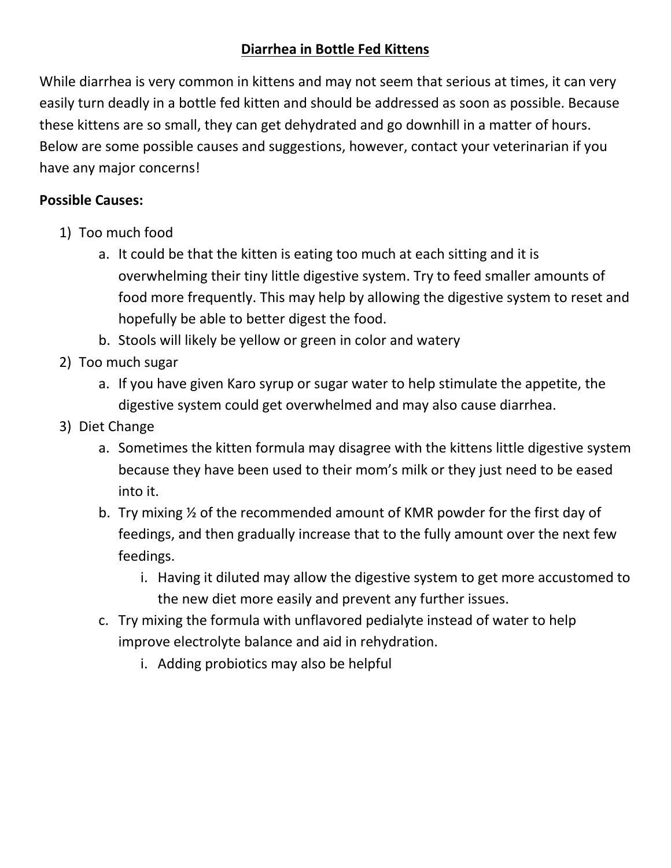## **Diarrhea in Bottle Fed Kittens**

While diarrhea is very common in kittens and may not seem that serious at times, it can very easily turn deadly in a bottle fed kitten and should be addressed as soon as possible. Because these kittens are so small, they can get dehydrated and go downhill in a matter of hours. Below are some possible causes and suggestions, however, contact your veterinarian if you have any major concerns!

#### **Possible Causes:**

- 1) Too much food
	- a. It could be that the kitten is eating too much at each sitting and it is overwhelming their tiny little digestive system. Try to feed smaller amounts of food more frequently. This may help by allowing the digestive system to reset and hopefully be able to better digest the food.
	- b. Stools will likely be yellow or green in color and watery
- 2) Too much sugar
	- a. If you have given Karo syrup or sugar water to help stimulate the appetite, the digestive system could get overwhelmed and may also cause diarrhea.
- 3) Diet Change
	- a. Sometimes the kitten formula may disagree with the kittens little digestive system because they have been used to their mom's milk or they just need to be eased into it.
	- b. Try mixing ½ of the recommended amount of KMR powder for the first day of feedings, and then gradually increase that to the fully amount over the next few feedings.
		- i. Having it diluted may allow the digestive system to get more accustomed to the new diet more easily and prevent any further issues.
	- c. Try mixing the formula with unflavored pedialyte instead of water to help improve electrolyte balance and aid in rehydration.
		- i. Adding probiotics may also be helpful